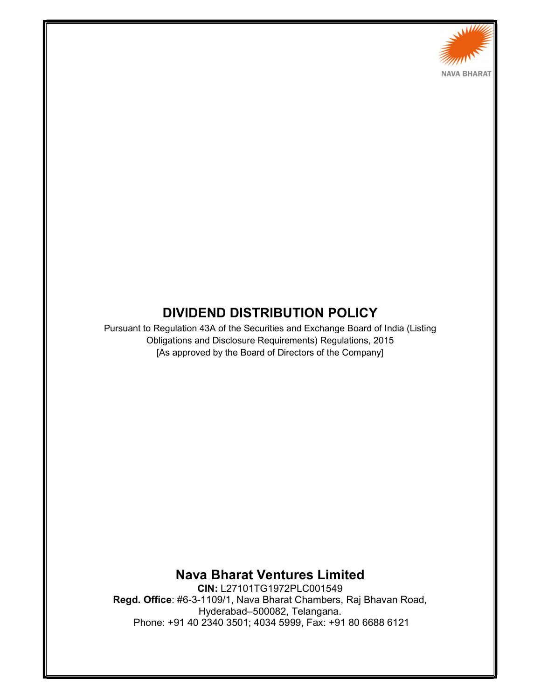

# DIVIDEND DISTRIBUTION POLICY

Pursuant to Regulation 43A of the Securities and Exchange Board of India (Listing Obligations and Disclosure Requirements) Regulations, 2015 [As approved by the Board of Directors of the Company]

Nava Bharat Ventures Limited

CIN: L27101TG1972PLC001549 Regd. Office: #6-3-1109/1, Nava Bharat Chambers, Raj Bhavan Road, Hyderabad–500082, Telangana. Phone: +91 40 2340 3501; 4034 5999, Fax: +91 80 6688 6121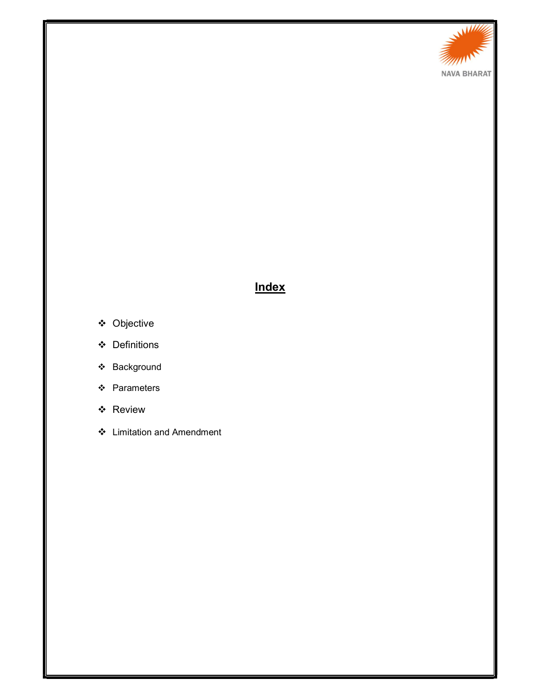

## **Index**

- Objective
- Definitions
- Background
- ❖ Parameters
- Review
- Limitation and Amendment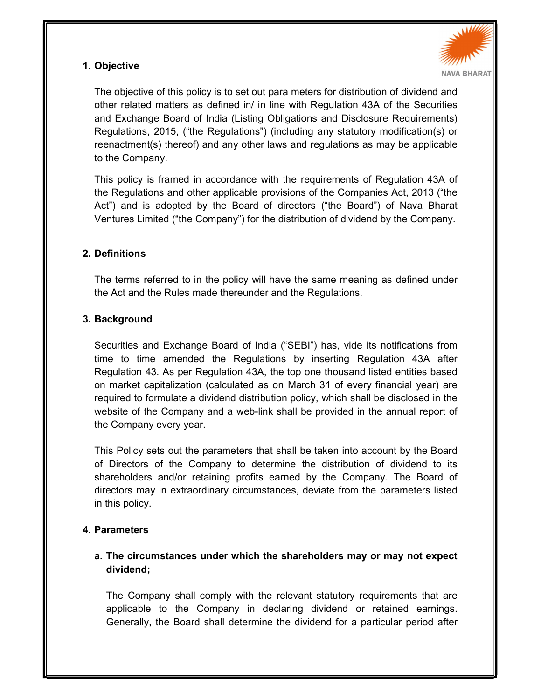## 1. Objective



The objective of this policy is to set out para meters for distribution of dividend and other related matters as defined in/ in line with Regulation 43A of the Securities and Exchange Board of India (Listing Obligations and Disclosure Requirements) Regulations, 2015, ("the Regulations") (including any statutory modification(s) or reenactment(s) thereof) and any other laws and regulations as may be applicable to the Company.

This policy is framed in accordance with the requirements of Regulation 43A of the Regulations and other applicable provisions of the Companies Act, 2013 ("the Act") and is adopted by the Board of directors ("the Board") of Nava Bharat Ventures Limited ("the Company") for the distribution of dividend by the Company.

### 2. Definitions

The terms referred to in the policy will have the same meaning as defined under the Act and the Rules made thereunder and the Regulations.

## 3. Background

Securities and Exchange Board of India ("SEBI") has, vide its notifications from time to time amended the Regulations by inserting Regulation 43A after Regulation 43. As per Regulation 43A, the top one thousand listed entities based on market capitalization (calculated as on March 31 of every financial year) are required to formulate a dividend distribution policy, which shall be disclosed in the website of the Company and a web-link shall be provided in the annual report of the Company every year.

This Policy sets out the parameters that shall be taken into account by the Board of Directors of the Company to determine the distribution of dividend to its shareholders and/or retaining profits earned by the Company. The Board of directors may in extraordinary circumstances, deviate from the parameters listed in this policy.

### 4. Parameters

## a. The circumstances under which the shareholders may or may not expect dividend;

The Company shall comply with the relevant statutory requirements that are applicable to the Company in declaring dividend or retained earnings. Generally, the Board shall determine the dividend for a particular period after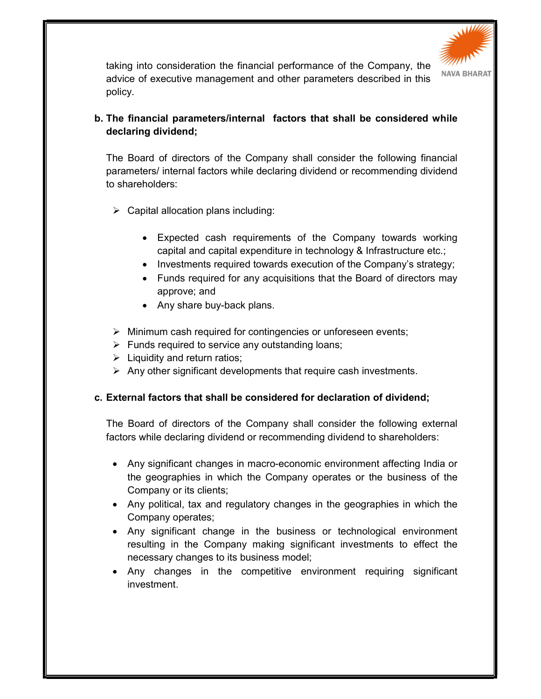

taking into consideration the financial performance of the Company, the advice of executive management and other parameters described in this policy.

## b. The financial parameters/internal factors that shall be considered while declaring dividend;

The Board of directors of the Company shall consider the following financial parameters/ internal factors while declaring dividend or recommending dividend to shareholders:

- $\triangleright$  Capital allocation plans including:
	- Expected cash requirements of the Company towards working capital and capital expenditure in technology & Infrastructure etc.;
	- Investments required towards execution of the Company's strategy;
	- Funds required for any acquisitions that the Board of directors may approve; and
	- Any share buy-back plans.
- $\triangleright$  Minimum cash required for contingencies or unforeseen events;
- $\triangleright$  Funds required to service any outstanding loans;
- $\triangleright$  Liquidity and return ratios;
- $\triangleright$  Any other significant developments that require cash investments.

### c. External factors that shall be considered for declaration of dividend;

The Board of directors of the Company shall consider the following external factors while declaring dividend or recommending dividend to shareholders:

- Any significant changes in macro-economic environment affecting India or the geographies in which the Company operates or the business of the Company or its clients;
- Any political, tax and regulatory changes in the geographies in which the Company operates;
- Any significant change in the business or technological environment resulting in the Company making significant investments to effect the necessary changes to its business model;
- Any changes in the competitive environment requiring significant investment.